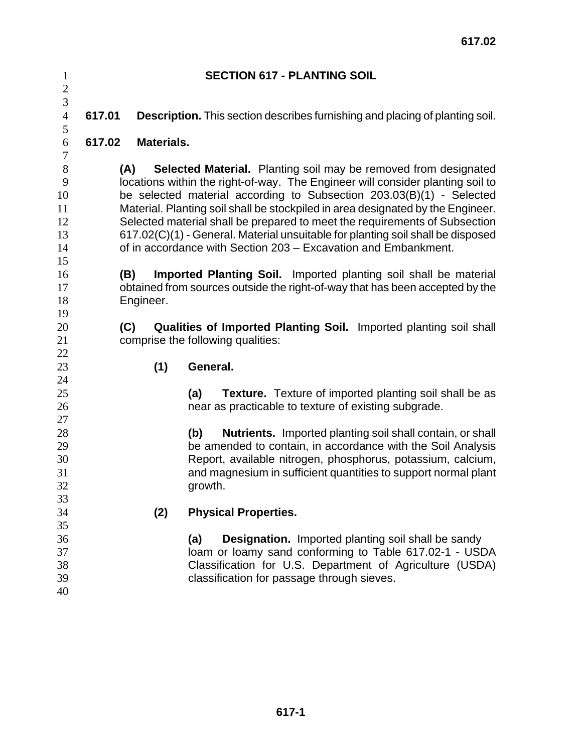| $\mathbf{1}$                   | <b>SECTION 617 - PLANTING SOIL</b>                                                    |                   |                                                                                     |  |  |  |
|--------------------------------|---------------------------------------------------------------------------------------|-------------------|-------------------------------------------------------------------------------------|--|--|--|
| $\overline{c}$                 |                                                                                       |                   |                                                                                     |  |  |  |
| $\overline{3}$                 |                                                                                       |                   |                                                                                     |  |  |  |
| $\overline{4}$                 | 617.01                                                                                |                   | <b>Description.</b> This section describes furnishing and placing of planting soil. |  |  |  |
| 5                              |                                                                                       |                   |                                                                                     |  |  |  |
| $\boldsymbol{6}$<br>$\sqrt{ }$ | 617.02                                                                                | <b>Materials.</b> |                                                                                     |  |  |  |
| 8                              |                                                                                       |                   | <b>Selected Material.</b> Planting soil may be removed from designated              |  |  |  |
| 9                              | (A)<br>locations within the right-of-way. The Engineer will consider planting soil to |                   |                                                                                     |  |  |  |
| 10                             | be selected material according to Subsection 203.03(B)(1) - Selected                  |                   |                                                                                     |  |  |  |
| 11                             | Material. Planting soil shall be stockpiled in area designated by the Engineer.       |                   |                                                                                     |  |  |  |
| 12                             | Selected material shall be prepared to meet the requirements of Subsection            |                   |                                                                                     |  |  |  |
| 13                             | 617.02(C)(1) - General. Material unsuitable for planting soil shall be disposed       |                   |                                                                                     |  |  |  |
| 14                             | of in accordance with Section 203 - Excavation and Embankment.                        |                   |                                                                                     |  |  |  |
| 15                             |                                                                                       |                   |                                                                                     |  |  |  |
| 16                             |                                                                                       | (B)               | Imported Planting Soil. Imported planting soil shall be material                    |  |  |  |
| 17                             | obtained from sources outside the right-of-way that has been accepted by the          |                   |                                                                                     |  |  |  |
| 18                             |                                                                                       | Engineer.         |                                                                                     |  |  |  |
| 19                             |                                                                                       |                   |                                                                                     |  |  |  |
| 20                             | (C)                                                                                   |                   | Qualities of Imported Planting Soil. Imported planting soil shall                   |  |  |  |
| 21                             |                                                                                       |                   | comprise the following qualities:                                                   |  |  |  |
| 22<br>23                       |                                                                                       |                   | General.                                                                            |  |  |  |
| 24                             |                                                                                       | (1)               |                                                                                     |  |  |  |
| 25                             |                                                                                       |                   | <b>Texture.</b> Texture of imported planting soil shall be as<br>(a)                |  |  |  |
| 26                             |                                                                                       |                   | near as practicable to texture of existing subgrade.                                |  |  |  |
| 27                             |                                                                                       |                   |                                                                                     |  |  |  |
| 28                             |                                                                                       |                   | <b>Nutrients.</b> Imported planting soil shall contain, or shall<br>(b)             |  |  |  |
| 29                             |                                                                                       |                   | be amended to contain, in accordance with the Soil Analysis                         |  |  |  |
| 30                             |                                                                                       |                   | Report, available nitrogen, phosphorus, potassium, calcium,                         |  |  |  |
| 31                             |                                                                                       |                   | and magnesium in sufficient quantities to support normal plant                      |  |  |  |
| 32                             |                                                                                       |                   | growth.                                                                             |  |  |  |
| 33                             |                                                                                       |                   |                                                                                     |  |  |  |
| 34                             |                                                                                       | (2)               | <b>Physical Properties.</b>                                                         |  |  |  |
| 35                             |                                                                                       |                   |                                                                                     |  |  |  |
| 36                             |                                                                                       |                   | <b>Designation.</b> Imported planting soil shall be sandy<br>(a)                    |  |  |  |
| 37                             |                                                                                       |                   | loam or loamy sand conforming to Table 617.02-1 - USDA                              |  |  |  |
| 38                             |                                                                                       |                   | Classification for U.S. Department of Agriculture (USDA)                            |  |  |  |
| 39                             |                                                                                       |                   | classification for passage through sieves.                                          |  |  |  |
| 40                             |                                                                                       |                   |                                                                                     |  |  |  |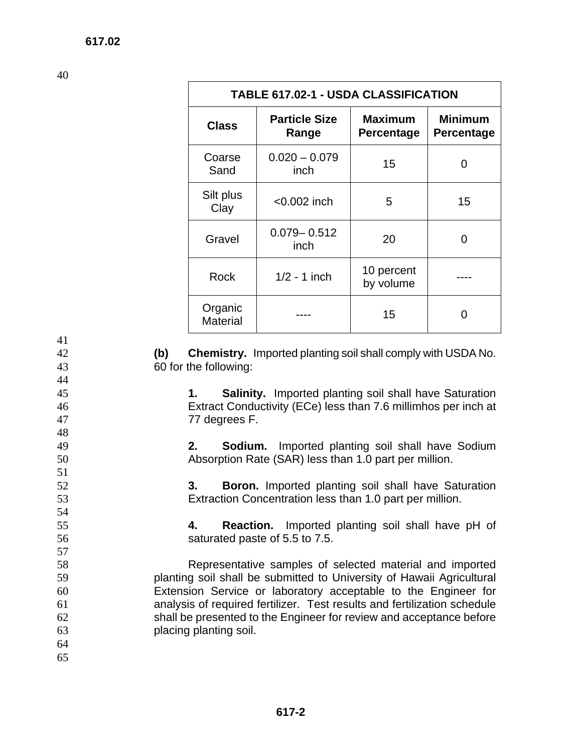40

41

44

48

51

54

57

| <b>TABLE 617.02-1 - USDA CLASSIFICATION</b> |                               |                                     |                                     |  |  |
|---------------------------------------------|-------------------------------|-------------------------------------|-------------------------------------|--|--|
| <b>Class</b>                                | <b>Particle Size</b><br>Range | <b>Maximum</b><br><b>Percentage</b> | <b>Minimum</b><br><b>Percentage</b> |  |  |
| Coarse<br>Sand                              | $0.020 - 0.079$<br>inch       | 15                                  | 0                                   |  |  |
| Silt plus<br>Clay                           | $<$ 0.002 inch                | 5                                   | 15                                  |  |  |
| Gravel                                      | $0.079 - 0.512$<br>inch       | 20                                  | 0                                   |  |  |
| Rock                                        | $1/2 - 1$ inch                | 10 percent<br>by volume             |                                     |  |  |
| Organic<br><b>Material</b>                  |                               | 15                                  |                                     |  |  |

42 **(b) Chemistry.** Imported planting soil shall comply with USDA No. 43 60 for the following:

45 **1. Salinity.** Imported planting soil shall have Saturation 46 Extract Conductivity (ECe) less than 7.6 millimhos per inch at 47 77 degrees F.

49 **2. Sodium.** Imported planting soil shall have Sodium 50 Absorption Rate (SAR) less than 1.0 part per million.

52 **3. Boron.** Imported planting soil shall have Saturation 53 Extraction Concentration less than 1.0 part per million.

55 **4. Reaction.** Imported planting soil shall have pH of 56 saturated paste of 5.5 to 7.5.

Representative samples of selected material and imported planting soil shall be submitted to University of Hawaii Agricultural Extension Service or laboratory acceptable to the Engineer for analysis of required fertilizer. Test results and fertilization schedule shall be presented to the Engineer for review and acceptance before placing planting soil.

- 64 **617.02**
- 65

 **617-2**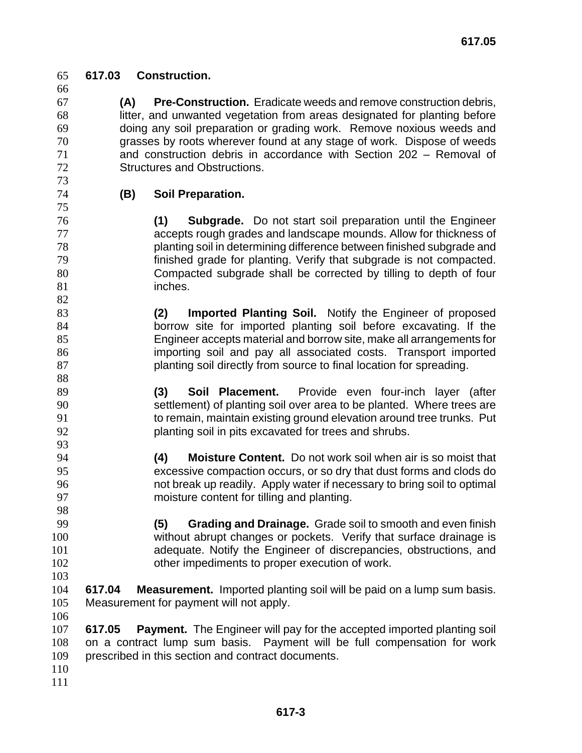**617.03 Construction.**

 **(A) Pre-Construction.** Eradicate weeds and remove construction debris, litter, and unwanted vegetation from areas designated for planting before doing any soil preparation or grading work. Remove noxious weeds and grasses by roots wherever found at any stage of work. Dispose of weeds and construction debris in accordance with Section 202 – Removal of Structures and Obstructions.

 

## **(B) Soil Preparation.**

**(1) Subgrade.** Do not start soil preparation until the Engineer accepts rough grades and landscape mounds. Allow for thickness of planting soil in determining difference between finished subgrade and finished grade for planting. Verify that subgrade is not compacted. Compacted subgrade shall be corrected by tilling to depth of four 81 inches.

**(2) Imported Planting Soil.** Notify the Engineer of proposed borrow site for imported planting soil before excavating. If the Engineer accepts material and borrow site, make all arrangements for importing soil and pay all associated costs. Transport imported 87 blanting soil directly from source to final location for spreading.

**(3) Soil Placement.** Provide even four-inch layer (after settlement) of planting soil over area to be planted. Where trees are to remain, maintain existing ground elevation around tree trunks. Put planting soil in pits excavated for trees and shrubs. 

**(4) Moisture Content.** Do not work soil when air is so moist that excessive compaction occurs, or so dry that dust forms and clods do not break up readily. Apply water if necessary to bring soil to optimal moisture content for tilling and planting.

**(5) Grading and Drainage.** Grade soil to smooth and even finish without abrupt changes or pockets. Verify that surface drainage is adequate. Notify the Engineer of discrepancies, obstructions, and other impediments to proper execution of work. 

- **617.04 Measurement.** Imported planting soil will be paid on a lump sum basis. Measurement for payment will not apply.
- 

**617.05 Payment.** The Engineer will pay for the accepted imported planting soil on a contract lump sum basis. Payment will be full compensation for work prescribed in this section and contract documents.

- 
-